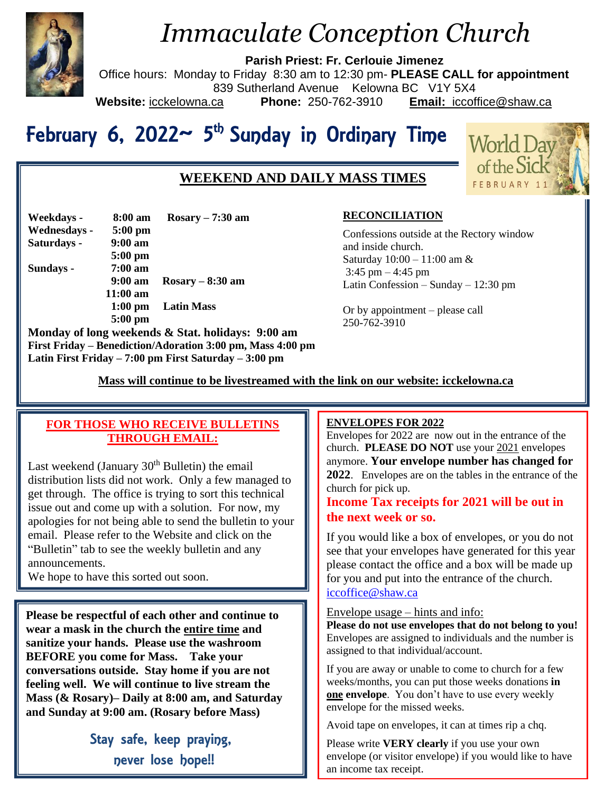

# *Immaculate Conception Church*

**Parish Priest: Fr. Cerlouie Jimenez**

Office hours: Monday to Friday 8:30 am to 12:30 pm- **PLEASE CALL for appointment**

839 Sutherland Avenue Kelowna BC V1Y 5X4

**Website:** icckelowna.ca **Phone:** 250-762-3910 **Email:** iccoffice@shaw.ca

# February 6, 2022~ 5<sup>th</sup> Sunday in Ordinary Time

# **WEEKEND AND DAILY MASS TIMES**



| Weekdays -   | 8:00 am            | $Rosary - 7:30$ am                         |
|--------------|--------------------|--------------------------------------------|
| Wednesdays - | $5:00$ pm          |                                            |
| Saturdays -  | $9:00$ am          |                                            |
|              | $5:00$ pm          |                                            |
| Sundays -    | $7:00$ am          |                                            |
|              | $9:00 \text{ am}$  | $Rosary - 8:30 am$                         |
|              | $11:00 \text{ am}$ |                                            |
|              | $1:00 \text{ pm}$  | <b>Latin Mass</b>                          |
|              | $5:00$ pm          |                                            |
|              |                    | Monday of lang weekends & Stat holidays: 0 |

**Monday of long weekends & Stat. holidays: 9:00 am First Friday – Benediction/Adoration 3:00 pm, Mass 4:00 pm Latin First Friday – 7:00 pm First Saturday – 3:00 pm** 

# **RECONCILIATION**

Confessions outside at the Rectory window and inside church. Saturday 10:00 – 11:00 am &  $3:45$  pm  $-4:45$  pm Latin Confession – Sunday – 12:30 pm

Or by appointment – please call 250-762-3910

 **Mass will continue to be livestreamed with the link on our website: icckelowna.ca**

# **FOR THOSE WHO RECEIVE BULLETINS THROUGH EMAIL:**

Last weekend (January  $30<sup>th</sup>$  Bulletin) the email distribution lists did not work. Only a few managed to get through. The office is trying to sort this technical issue out and come up with a solution. For now, my apologies for not being able to send the bulletin to your email. Please refer to the Website and click on the "Bulletin" tab to see the weekly bulletin and any announcements.

We hope to have this sorted out soon.

**Please be respectful of each other and continue to wear a mask in the church the entire time and sanitize your hands. Please use the washroom BEFORE you come for Mass. Take your conversations outside. Stay home if you are not feeling well. We will continue to live stream the Mass (& Rosary)– Daily at 8:00 am, and Saturday and Sunday at 9:00 am. (Rosary before Mass)**

> Stay safe, keep praying, never lose hope!!

#### j **ENVELOPES FOR 2022**

Envelopes for  $2022$  are now out in the entrance of the church. **PLEASE DO NOT** use your 2021 envelopes anymore. **Your envelope number has changed for 2022**. Envelopes are on the tables in the entrance of the church for pick up.

# **Income Tax receipts for 2021 will be out in the next week or so.**

If you would like a box of envelopes, or you do not see that your envelopes have generated for this year please contact the office and a box will be made up for you and put into the entrance of the church. [iccoffice@shaw.ca](mailto:iccoffice@shaw.ca)

Envelope usage – hints and info:

**Please do not use envelopes that do not belong to you!** Envelopes are assigned to individuals and the number is assigned to that individual/account.

If you are away or unable to come to church for a few weeks/months, you can put those weeks donations **in one envelope**. You don't have to use every weekly envelope for the missed weeks.

Avoid tape on envelopes, it can at times rip a chq.

Please write **VERY clearly** if you use your own envelope (or visitor envelope) if you would like to have an income tax receipt.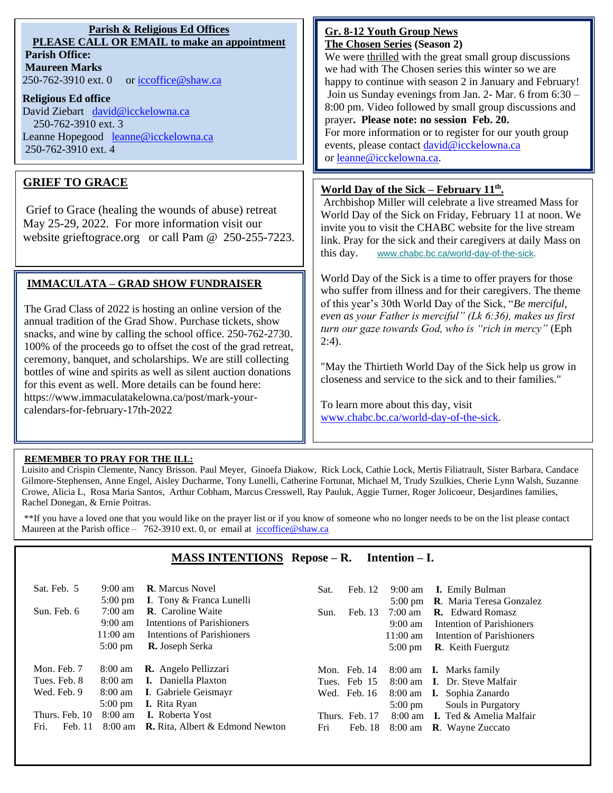## **Parish & Religious Ed Offices PLEASE CALL OR EMAIL to make an appointment Parish Office:**

**Maureen Marks**  250-762-3910 ext. 0 or [iccoffice@shaw.ca](mailto:iccoffice@shaw.ca)

#### **Religious Ed office**

David Ziebart david@icckelowna.ca 250-762-3910 ext. 3 Leanne Hopegood [leanne@icckelowna.ca](mailto:leanne@icckelowna.ca) 250-762-3910 ext. 4

# **GRIEF TO GRACE**

Grief to Grace (healing the wounds of abuse) retreat May 25-29, 2022. For more information visit our website grieftograce.org or call Pam @ 250-255-7223.

# **IMMACULATA – GRAD SHOW FUNDRAISER**

The Grad Class of 2022 is hosting an online version of the annual tradition of the Grad Show. Purchase tickets, show snacks, and wine by calling the school office. 250-762-2730. 100% of the proceeds go to offset the cost of the grad retreat, ceremony, banquet, and scholarships. We are still collecting bottles of wine and spirits as well as silent auction donations for this event as well. More details can be found here: https://www.immaculatakelowna.ca/post/mark-yourcalendars-for-february-17th-2022

#### **Gr. 8-12 Youth Group News The Chosen Series (Season 2)**

We were thrilled with the great small group discussions we had with The Chosen series this winter so we are happy to continue with season 2 in January and February! Join us Sunday evenings from Jan. 2- Mar. 6 from 6:30 – 8:00 pm. Video followed by small group discussions and prayer**. Please note: no session Feb. 20.**

For more information or to register for our youth group events, please contact [david@icckelowna.ca](mailto:david@icckelowna.ca) or [leanne@icckelowna.ca.](mailto:leanne@icckelowna.ca)

### **World Day of the Sick – February 11th .**

Archbishop Miller will celebrate a live streamed Mass for World Day of the Sick on Friday, February 11 at noon. We invite you to visit the CHABC website for the live stream link. Pray for the sick and their caregivers at daily Mass on this day. [w](https://chabc.us7.list-manage.com/track/click?u=4b9faca4ca0378b56695aa1d1&id=64c345b8f2&e=1e9274e8b1)[ww.chabc.bc.ca/world-day-of-the-sick.](https://chabc.us7.list-manage.com/track/click?u=4b9faca4ca0378b56695aa1d1&id=5421344bd7&e=1e9274e8b1)

World Day of the Sick is a time to offer prayers for those who suffer from illness and for their caregivers. The theme of this year's 30th World Day of the Sick, "*Be merciful, even as your Father is merciful" (Lk 6:36), makes us first turn our gaze towards God, who is "rich in mercy"* (Eph  $2:4$ ).

"May the Thirtieth World Day of the Sick help us grow in closeness and service to the sick and to their families."

To learn more about this day, visit [www.chabc.bc.ca/world-day-of-the-sick.](http://www.chabc.bc.ca/world-day-of-the-sick)

#### **REMEMBER TO PRAY FOR THE ILL:**

Ξ

 $\overline{a}$ 

Luisito and Crispin Clemente, Nancy Brisson. Paul Meyer, Ginoefa Diakow, Rick Lock, Cathie Lock, Mertis Filiatrault, Sister Barbara, Candace Gilmore-Stephensen, Anne Engel, Aisley Ducharme, Tony Lunelli, Catherine Fortunat, Michael M, Trudy Szulkies, Cherie Lynn Walsh, Suzanne Crowe, Alicia L, Rosa Maria Santos, Arthur Cobham, Marcus Cresswell, Ray Pauluk, Aggie Turner, Roger Jolicoeur, Desjardines families, Rachel Donegan, & Ernie Poitras.

\*\*If you have a loved one that you would like on the prayer list or if you know of someone who no longer needs to be on the list please contact Maureen at the Parish office – 762-3910 ext. 0, or email at  $iccoffice@shaw.ca$ 

## **MASS INTENTIONS Repose – R. Intention – I.**

| Sat. Feb. 5     | $9:00 \text{ am}$<br>$5:00 \text{ pm}$                                            | <b>R.</b> Marcus Novel<br><b>I.</b> Tony & Franca Lunelli                                                      | Sat. | Feb. 12        | 9:00 am<br>$5:00 \text{ pm}$                                                      | <b>I.</b> Emily Bulman<br>R. Maria Teresa Gonzalez                                                            |
|-----------------|-----------------------------------------------------------------------------------|----------------------------------------------------------------------------------------------------------------|------|----------------|-----------------------------------------------------------------------------------|---------------------------------------------------------------------------------------------------------------|
| Sun. Feb. 6     | $7:00 \text{ am}$<br>$9:00 \text{ am}$<br>$11:00 \text{ am}$<br>$5:00 \text{ pm}$ | <b>R.</b> Caroline Waite<br>Intentions of Parishioners<br>Intentions of Parishioners<br><b>R.</b> Joseph Serka | Sun. | Feb. 13        | $7:00 \text{ am}$<br>$9:00 \text{ am}$<br>$11:00 \text{ am}$<br>$5:00 \text{ pm}$ | <b>R.</b> Edward Romasz<br>Intention of Parishioners<br>Intention of Parishioners<br><b>R.</b> Keith Fuergutz |
| Mon. Feb. 7     | 8:00 am                                                                           | <b>R.</b> Angelo Pellizzari                                                                                    |      | Mon. Feb. 14   |                                                                                   | 8:00 am <b>I.</b> Marks family                                                                                |
| Tues. Feb. 8    | $8:00 \text{ am}$                                                                 | <b>I.</b> Daniella Plaxton                                                                                     |      | Tues. Feb 15   |                                                                                   | 8:00 am <b>I</b> . Dr. Steve Malfair                                                                          |
| Wed. Feb. 9     | $8:00 \text{ am}$                                                                 | I. Gabriele Geismayr                                                                                           |      | Wed. Feb. 16   |                                                                                   | 8:00 am <b>I.</b> Sophia Zanardo                                                                              |
|                 | $5:00 \text{ pm}$                                                                 | <b>I.</b> Rita Ryan                                                                                            |      |                | $5:00 \text{ pm}$                                                                 | Souls in Purgatory                                                                                            |
| Thurs. Feb. 10  | $8:00 \text{ am}$                                                                 | <b>I.</b> Roberta Yost                                                                                         |      | Thurs. Feb. 17 | $8:00 \text{ am}$                                                                 | <b>I.</b> Ted & Amelia Malfair                                                                                |
| Fri.<br>Feb. 11 | 8:00 am                                                                           | <b>R.</b> Rita, Albert & Edmond Newton                                                                         | Fri  | Feb. 18        |                                                                                   | 8:00 am <b>R</b> . Wayne Zuccato                                                                              |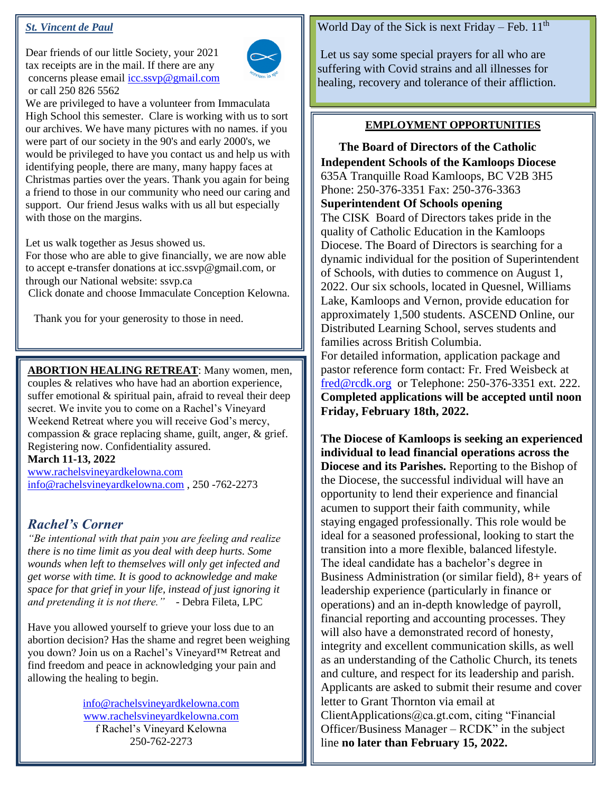## *St. Vincent de Paul*

Dear friends of our little Society, your 2021 tax receipts are in the mail. If there are any concerns please email [icc.ssvp@gmail.com](mailto:icc.ssvp@gmail.com) or call 250 826 5562



We are privileged to have a volunteer from Immaculata High School this semester. Clare is working with us to sort our archives. We have many pictures with no names. if you were part of our society in the 90's and early 2000's, we would be privileged to have you contact us and help us with identifying people, there are many, many happy faces at Christmas parties over the years. Thank you again for being a friend to those in our community who need our caring and support. Our friend Jesus walks with us all but especially with those on the margins.

Let us walk together as Jesus showed us.

For those who are able to give financially, we are now able to accept e-transfer donations at icc.ssvp@gmail.com, or through our National website: ssvp.ca

Click donate and choose Immaculate Conception Kelowna.

Thank you for your generosity to those in need.

**ABORTION HEALING RETREAT**: Many women, men, couples & relatives who have had an abortion experience, suffer emotional & spiritual pain, afraid to reveal their deep secret. We invite you to come on a Rachel's Vineyard Weekend Retreat where you will receive God's mercy, compassion & grace replacing shame, guilt, anger, & grief. Registering now. Confidentiality assured.

**March 11-13, 2022**

[www.rachelsvineyardkelowna.com](http://www.rachelsvineyardkelowna.com/) [info@rachelsvineyardkelowna.com](mailto:info@rachelsvineyardkelowna.com) , 250 -762-2273

# *Rachel's Corner*

*"Be intentional with that pain you are feeling and realize there is no time limit as you deal with deep hurts. Some wounds when left to themselves will only get infected and get worse with time. It is good to acknowledge and make space for that grief in your life, instead of just ignoring it and pretending it is not there."* - Debra Fileta, LPC

Have you allowed yourself to grieve your loss due to an abortion decision? Has the shame and regret been weighing you down? Join us on a Rachel's Vineyard™ Retreat and find freedom and peace in acknowledging your pain and allowing the healing to begin.

> [info@rachelsvineyardkelowna.com](mailto:info@rachelsvineyardkelowna.com) [www.rachelsvineyardkelowna.com](http://www.rachelsvineyardkelowna.com/) f Rachel's Vineyard Kelowna 250-762-2273

### World Day of the Sick is next Friday – Feb.  $11<sup>th</sup>$

Let us say some special prayers for all who are suffering with Covid strains and all illnesses for healing, recovery and tolerance of their affliction.

## **EMPLOYMENT OPPORTUNITIES**

**CThe Board of Directors of the Catholic Independent Schools of the Kamloops Diocese** 635A Tranquille Road Kamloops, BC V2B 3H5 Phone: 250-376-3351 Fax: 250-376-3363 **Superintendent Of Schools opening** The CISK Board of Directors takes pride in the quality of Catholic Education in the Kamloops Diocese. The Board of Directors is searching for a dynamic individual for the position of Superintendent of Schools, with duties to commence on August 1, 2022. Our six schools, located in Quesnel, Williams Lake, Kamloops and Vernon, provide education for approximately 1,500 students. ASCEND Online, our Distributed Learning School, serves students and families across British Columbia. For detailed information, application package and

pastor reference form contact: Fr. Fred Weisbeck at [fred@rcdk.org](mailto:fred@rcdk.org) or Telephone: 250-376-3351 ext. 222. **Completed applications will be accepted until noon Friday, February 18th, 2022.**

**The Diocese of Kamloops is seeking an experienced individual to lead financial operations across the Diocese and its Parishes.** Reporting to the Bishop of the Diocese, the successful individual will have an opportunity to lend their experience and financial acumen to support their faith community, while staying engaged professionally. This role would be ideal for a seasoned professional, looking to start the transition into a more flexible, balanced lifestyle. The ideal candidate has a bachelor's degree in Business Administration (or similar field), 8+ years of leadership experience (particularly in finance or operations) and an in-depth knowledge of payroll, financial reporting and accounting processes. They will also have a demonstrated record of honesty, integrity and excellent communication skills, as well as an understanding of the Catholic Church, its tenets and culture, and respect for its leadership and parish. Applicants are asked to submit their resume and cover letter to Grant Thornton via email at ClientApplications@ca.gt.com, citing "Financial Officer/Business Manager – RCDK" in the subject line **no later than February 15, 2022.**